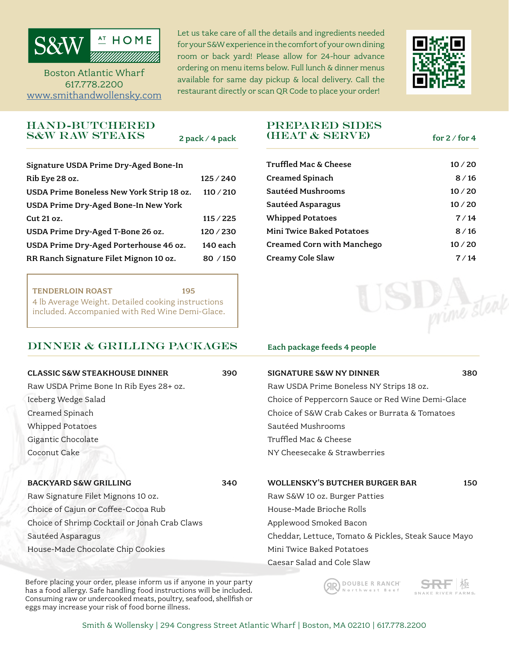

Boston Atlantic Wharf 617.778.2200

Let us take care of all the details and ingredients needed for your S&W experience in the comfort of your own dining room or back yard! Please allow for 24-hour advance ordering on menu items below. Full lunch & dinner menus available for same day pickup & local delivery. Call the restaurant directly or scan QR Code to place your order! [www.smithandwollensky.com](https://www.smithandwollensky.com/order-online/)



## hand-butchered s&w raw steaks

2 pack / 4 pack

| Signature USDA Prime Dry-Aged Bone-In     |           |
|-------------------------------------------|-----------|
| Rib Eye 28 oz.                            | 125/240   |
| USDA Prime Boneless New York Strip 18 oz. | 110 / 210 |
| USDA Prime Dry-Aged Bone-In New York      |           |
| Cut 21 oz.                                | 115 / 225 |
| USDA Prime Dry-Aged T-Bone 26 oz.         | 120/230   |
| USDA Prime Dry-Aged Porterhouse 46 oz.    | 140 each  |
| RR Ranch Signature Filet Mignon 10 oz.    | 80/150    |

TENDERLOIN ROAST 195 4 lb Average Weight. Detailed cooking instructions included. Accompanied with Red Wine Demi-Glace.

# $DINNER & GRILLING PACKAGES$  Each package feeds 4 people

## prepared sides (heat & serve)

for  $2 /$  for  $4$ 

| <b>Truffled Mac &amp; Cheese</b> | 10/20 |
|----------------------------------|-------|
| <b>Creamed Spinach</b>           | 8/16  |
| Sautéed Mushrooms                | 10/20 |
| Sautéed Asparagus                | 10/20 |
| <b>Whipped Potatoes</b>          | 7/14  |
| <b>Mini Twice Baked Potatoes</b> | 8/16  |
| Creamed Corn with Manchego       | 10/20 |
| Creamy Cole Slaw                 | 7/14  |



| <b>CLASSIC S&amp;W STEAKHOUSE DINNER</b>      | 390 | <b>SIGNATURE S&amp;W NY DINNER</b>                   | 380 |  |
|-----------------------------------------------|-----|------------------------------------------------------|-----|--|
| Raw USDA Prime Bone In Rib Eyes 28+ oz.       |     | Raw USDA Prime Boneless NY Strips 18 oz.             |     |  |
| Iceberg Wedge Salad                           |     | Choice of Peppercorn Sauce or Red Wine Demi-Glace    |     |  |
| Creamed Spinach                               |     | Choice of S&W Crab Cakes or Burrata & Tomatoes       |     |  |
| <b>Whipped Potatoes</b>                       |     | Sautéed Mushrooms                                    |     |  |
| Gigantic Chocolate                            |     | Truffled Mac & Cheese                                |     |  |
| Coconut Cake                                  |     | NY Cheesecake & Strawberries                         |     |  |
| BACKYARD S&W GRILLING                         | 340 | <b>WOLLENSKY'S BUTCHER BURGER BAR</b>                | 150 |  |
| Raw Signature Filet Mignons 10 oz.            |     | Raw S&W 10 oz. Burger Patties                        |     |  |
| Choice of Cajun or Coffee-Cocoa Rub           |     | House-Made Brioche Rolls                             |     |  |
| Choice of Shrimp Cocktail or Jonah Crab Claws |     | Applewood Smoked Bacon                               |     |  |
| Sautéed Asparagus                             |     | Cheddar, Lettuce, Tomato & Pickles, Steak Sauce Mayo |     |  |
| House-Made Chocolate Chip Cookies             |     | Mini Twice Baked Potatoes                            |     |  |
|                                               |     | Caesar Salad and Cole Slaw                           |     |  |

Before placing your order, please inform us if anyone in your party has a food allergy. Safe handling food instructions will be included. Consuming raw or undercooked meats, poultry, seafood, shellfish or eggs may increase your risk of food borne illness.

DOUBLE R RANCH ЯR) Northwest Beef